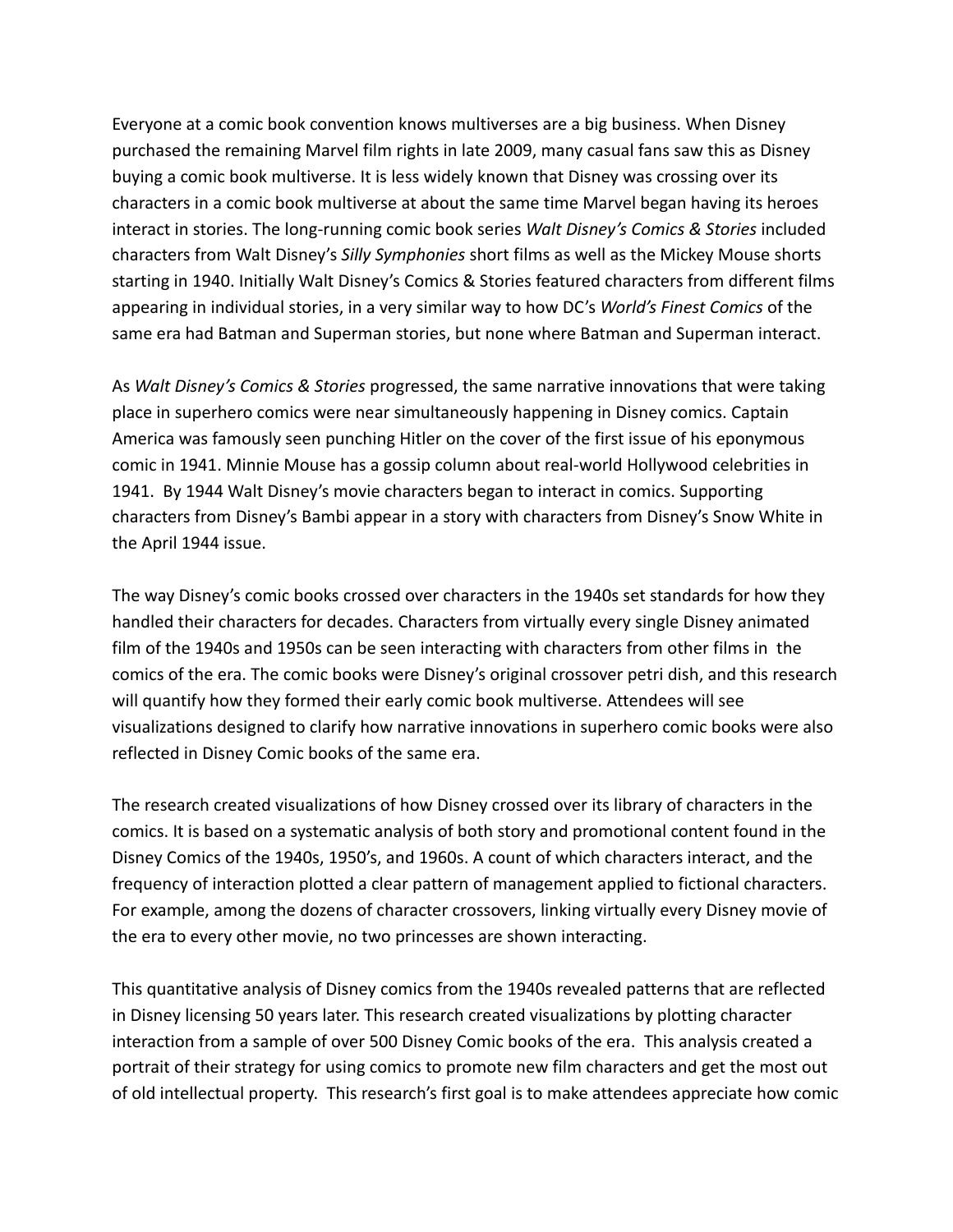Everyone at a comic book convention knows multiverses are a big business. When Disney purchased the remaining Marvel film rights in late 2009, many casual fans saw this as Disney buying a comic book multiverse. It is less widely known that Disney was crossing over its characters in a comic book multiverse at about the same time Marvel began having its heroes interact in stories. The long-running comic book series *Walt Disney's Comics & Stories* included characters from Walt Disney's *Silly Symphonies* short films as well as the Mickey Mouse shorts starting in 1940. Initially Walt Disney's Comics & Stories featured characters from different films appearing in individual stories, in a very similar way to how DC's *World's Finest Comics* of the same era had Batman and Superman stories, but none where Batman and Superman interact.

As *Walt Disney's Comics & Stories* progressed, the same narrative innovations that were taking place in superhero comics were near simultaneously happening in Disney comics. Captain America was famously seen punching Hitler on the cover of the first issue of his eponymous comic in 1941. Minnie Mouse has a gossip column about real-world Hollywood celebrities in 1941. By 1944 Walt Disney's movie characters began to interact in comics. Supporting characters from Disney's Bambi appear in a story with characters from Disney's Snow White in the April 1944 issue.

The way Disney's comic books crossed over characters in the 1940s set standards for how they handled their characters for decades. Characters from virtually every single Disney animated film of the 1940s and 1950s can be seen interacting with characters from other films in the comics of the era. The comic books were Disney's original crossover petri dish, and this research will quantify how they formed their early comic book multiverse. Attendees will see visualizations designed to clarify how narrative innovations in superhero comic books were also reflected in Disney Comic books of the same era.

The research created visualizations of how Disney crossed over its library of characters in the comics. It is based on a systematic analysis of both story and promotional content found in the Disney Comics of the 1940s, 1950's, and 1960s. A count of which characters interact, and the frequency of interaction plotted a clear pattern of management applied to fictional characters. For example, among the dozens of character crossovers, linking virtually every Disney movie of the era to every other movie, no two princesses are shown interacting.

This quantitative analysis of Disney comics from the 1940s revealed patterns that are reflected in Disney licensing 50 years later. This research created visualizations by plotting character interaction from a sample of over 500 Disney Comic books of the era. This analysis created a portrait of their strategy for using comics to promote new film characters and get the most out of old intellectual property. This research's first goal is to make attendees appreciate how comic